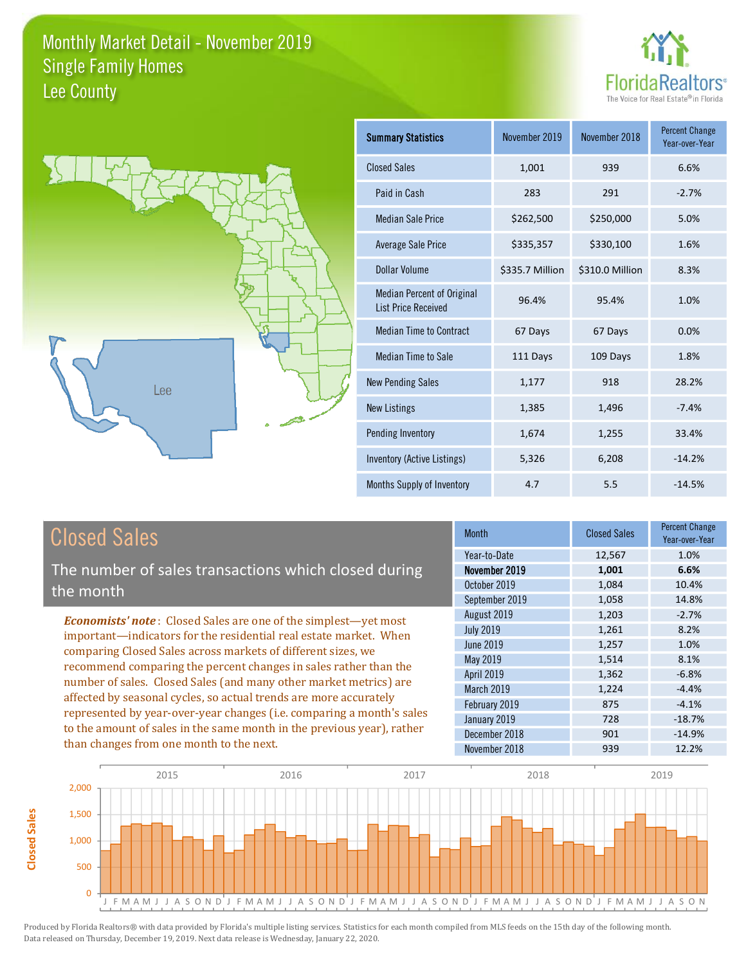



| <b>Summary Statistics</b>                                       | November 2019   | November 2018   | <b>Percent Change</b><br>Year-over-Year |
|-----------------------------------------------------------------|-----------------|-----------------|-----------------------------------------|
| <b>Closed Sales</b>                                             | 1,001           | 939             | 6.6%                                    |
| Paid in Cash                                                    | 283             | 291             | $-2.7%$                                 |
| <b>Median Sale Price</b>                                        | \$262,500       | \$250,000       | 5.0%                                    |
| Average Sale Price                                              | \$335,357       | \$330,100       | 1.6%                                    |
| Dollar Volume                                                   | \$335.7 Million | \$310.0 Million | 8.3%                                    |
| <b>Median Percent of Original</b><br><b>List Price Received</b> | 96.4%           | 95.4%           | 1.0%                                    |
| <b>Median Time to Contract</b>                                  | 67 Days         | 67 Days         | 0.0%                                    |
| Median Time to Sale                                             | 111 Days        | 109 Days        | 1.8%                                    |
| <b>New Pending Sales</b>                                        | 1,177           | 918             | 28.2%                                   |
| <b>New Listings</b>                                             | 1,385           | 1,496           | $-7.4%$                                 |
| Pending Inventory                                               | 1,674           | 1,255           | 33.4%                                   |
| Inventory (Active Listings)                                     | 5,326           | 6,208           | $-14.2%$                                |
| <b>Months Supply of Inventory</b>                               | 4.7             | 5.5             | $-14.5%$                                |

### **Closed Sales**

**Closed Sales** 

The number of sales transactions which closed during the month

**Economists' note:** Closed Sales are one of the simplest-yet most important-indicators for the residential real estate market. When comparing Closed Sales across markets of different sizes, we recommend comparing the percent changes in sales rather than the number of sales. Closed Sales (and many other market metrics) are affected by seasonal cycles, so actual trends are more accurately represented by year-over-year changes (i.e. comparing a month's sales to the amount of sales in the same month in the previous year), rather than changes from one month to the next.

| <b>Month</b>      | <b>Closed Sales</b> | <b>Percent Change</b><br>Year-over-Year |
|-------------------|---------------------|-----------------------------------------|
| Year-to-Date      | 12,567              | 1.0%                                    |
| November 2019     | 1,001               | 6.6%                                    |
| October 2019      | 1,084               | 10.4%                                   |
| September 2019    | 1,058               | 14.8%                                   |
| August 2019       | 1,203               | $-2.7%$                                 |
| <b>July 2019</b>  | 1,261               | 8.2%                                    |
| June 2019         | 1,257               | 1.0%                                    |
| May 2019          | 1,514               | 8.1%                                    |
| <b>April 2019</b> | 1,362               | $-6.8%$                                 |
| March 2019        | 1,224               | $-4.4%$                                 |
| February 2019     | 875                 | $-4.1%$                                 |
| January 2019      | 728                 | $-18.7%$                                |
| December 2018     | 901                 | $-14.9%$                                |
| November 2018     | 939                 | 12.2%                                   |

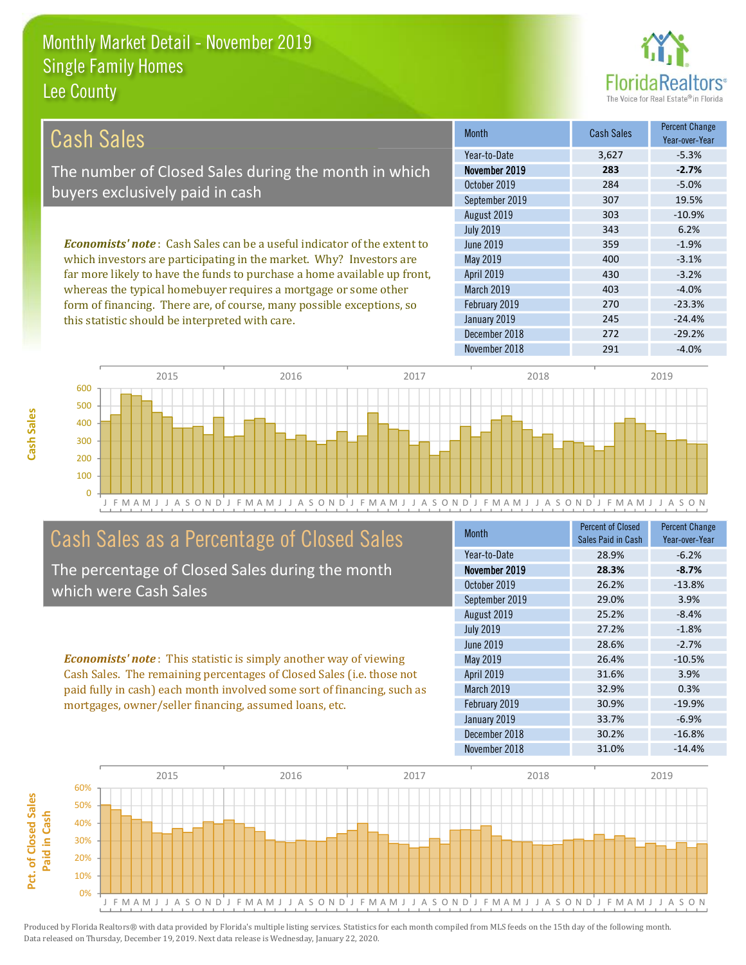this statistic should be interpreted with care.



 $-24.4%$ 

 $-29.2%$ 

 $-4.0%$ 

| Cash Sales                                                                      | <b>Month</b>      | <b>Cash Sales</b> | <b>Percent Change</b><br>Year-over-Year |
|---------------------------------------------------------------------------------|-------------------|-------------------|-----------------------------------------|
|                                                                                 | Year-to-Date      | 3.627             | $-5.3%$                                 |
| The number of Closed Sales during the month in which                            | November 2019     | 283               | $-2.7%$                                 |
| buyers exclusively paid in cash                                                 | October 2019      | 284               | $-5.0%$                                 |
|                                                                                 | September 2019    | 307               | 19.5%                                   |
|                                                                                 | August 2019       | 303               | $-10.9%$                                |
|                                                                                 | <b>July 2019</b>  | 343               | 6.2%                                    |
| <b>Economists' note</b> : Cash Sales can be a useful indicator of the extent to | June 2019         | 359               | $-1.9%$                                 |
| which investors are participating in the market. Why? Investors are             | May 2019          | 400               | $-3.1%$                                 |
| far more likely to have the funds to purchase a home available up front,        | <b>April 2019</b> | 430               | $-3.2%$                                 |
| whereas the typical homebuyer requires a mortgage or some other                 | <b>March 2019</b> | 403               | $-4.0%$                                 |
| form of financing. There are, of course, many possible exceptions, so           | February 2019     | 270               | $-23.3%$                                |

January 2019

December 2018

November 2018

2015 2016 2017 2018 2019 600 500 400 300 200 100  $\overline{0}$ JFMAMJ J A S O N D FMAMJ J A S O N D J F M A M J J A S O N D J F M A M J J A S O N D J F M A M J J A S O N

### Cash Sales as a Percentage of Closed Sales

The percentage of Closed Sales during the month which were Cash Sales

**Economists' note:** This statistic is simply another way of viewing Cash Sales. The remaining percentages of Closed Sales (i.e. those not paid fully in cash) each month involved some sort of financing, such as mortgages, owner/seller financing, assumed loans, etc.

| <b>Month</b>     | <b>Percent of Closed</b><br>Sales Paid in Cash | <b>Percent Change</b><br>Year-over-Year |
|------------------|------------------------------------------------|-----------------------------------------|
| Year-to-Date     | 28.9%                                          | $-6.2%$                                 |
| November 2019    | 28.3%                                          | $-8.7%$                                 |
| October 2019     | 26.2%                                          | $-13.8%$                                |
| September 2019   | 29.0%                                          | 3.9%                                    |
| August 2019      | 25.2%                                          | $-8.4%$                                 |
| <b>July 2019</b> | 27.2%                                          | $-1.8%$                                 |
| June 2019        | 28.6%                                          | $-2.7%$                                 |
| May 2019         | 26.4%                                          | $-10.5%$                                |
| April 2019       | 31.6%                                          | 3.9%                                    |
| March 2019       | 32.9%                                          | 0.3%                                    |
| February 2019    | 30.9%                                          | $-19.9%$                                |
| January 2019     | 33.7%                                          | $-6.9%$                                 |
| December 2018    | 30.2%                                          | $-16.8%$                                |
| November 2018    | 31.0%                                          | $-14.4%$                                |

245

272

291

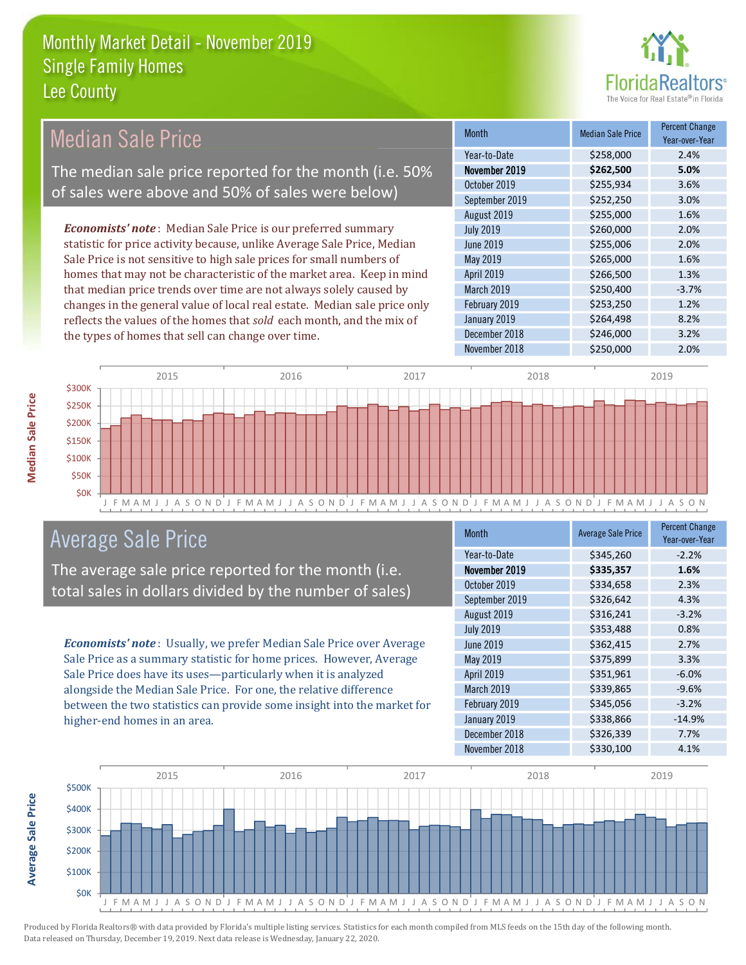

### **Median Sale Price**

The median sale price reported for the month (i.e. 50% of sales were above and 50% of sales were below)

**Economists' note**: Median Sale Price is our preferred summary statistic for price activity because, unlike Average Sale Price, Median Sale Price is not sensitive to high sale prices for small numbers of homes that may not be characteristic of the market area. Keep in mind that median price trends over time are not always solely caused by changes in the general value of local real estate. Median sale price only reflects the values of the homes that sold each month, and the mix of the types of homes that sell can change over time.

| <b>Month</b>      | <b>Median Sale Price</b> | <b>Percent Change</b><br>Year-over-Year |
|-------------------|--------------------------|-----------------------------------------|
| Year-to-Date      | \$258,000                | 2.4%                                    |
| November 2019     | \$262,500                | 5.0%                                    |
| October 2019      | \$255,934                | 3.6%                                    |
| September 2019    | \$252,250                | 3.0%                                    |
| August 2019       | \$255,000                | 1.6%                                    |
| <b>July 2019</b>  | \$260,000                | 2.0%                                    |
| <b>June 2019</b>  | \$255,006                | 2.0%                                    |
| May 2019          | \$265,000                | 1.6%                                    |
| <b>April 2019</b> | \$266,500                | 1.3%                                    |
| March 2019        | \$250,400                | $-3.7%$                                 |
| February 2019     | \$253,250                | 1.2%                                    |
| January 2019      | \$264,498                | 8.2%                                    |
| December 2018     | \$246,000                | 3.2%                                    |
| November 2018     | \$250,000                | 2.0%                                    |



#### **Average Sale Price**

The average sale price reported for the month (i.e. total sales in dollars divided by the number of sales)

Economists' note: Usually, we prefer Median Sale Price over Average Sale Price as a summary statistic for home prices. However, Average Sale Price does have its uses-particularly when it is analyzed alongside the Median Sale Price. For one, the relative difference between the two statistics can provide some insight into the market for higher-end homes in an area.

| Month            | <b>Average Sale Price</b> | <b>Percent Change</b><br>Year-over-Year |
|------------------|---------------------------|-----------------------------------------|
| Year-to-Date     | \$345,260                 | $-2.2%$                                 |
| November 2019    | \$335,357                 | 1.6%                                    |
| October 2019     | \$334,658                 | 2.3%                                    |
| September 2019   | \$326,642                 | 4.3%                                    |
| August 2019      | \$316,241                 | $-3.2%$                                 |
| <b>July 2019</b> | \$353,488                 | 0.8%                                    |
| <b>June 2019</b> | \$362,415                 | 2.7%                                    |
| May 2019         | \$375,899                 | 3.3%                                    |
| April 2019       | \$351,961                 | $-6.0%$                                 |
| March 2019       | \$339,865                 | $-9.6%$                                 |
| February 2019    | \$345,056                 | $-3.2%$                                 |
| January 2019     | \$338,866                 | $-14.9%$                                |
| December 2018    | \$326,339                 | 7.7%                                    |
| November 2018    | \$330,100                 | 4.1%                                    |

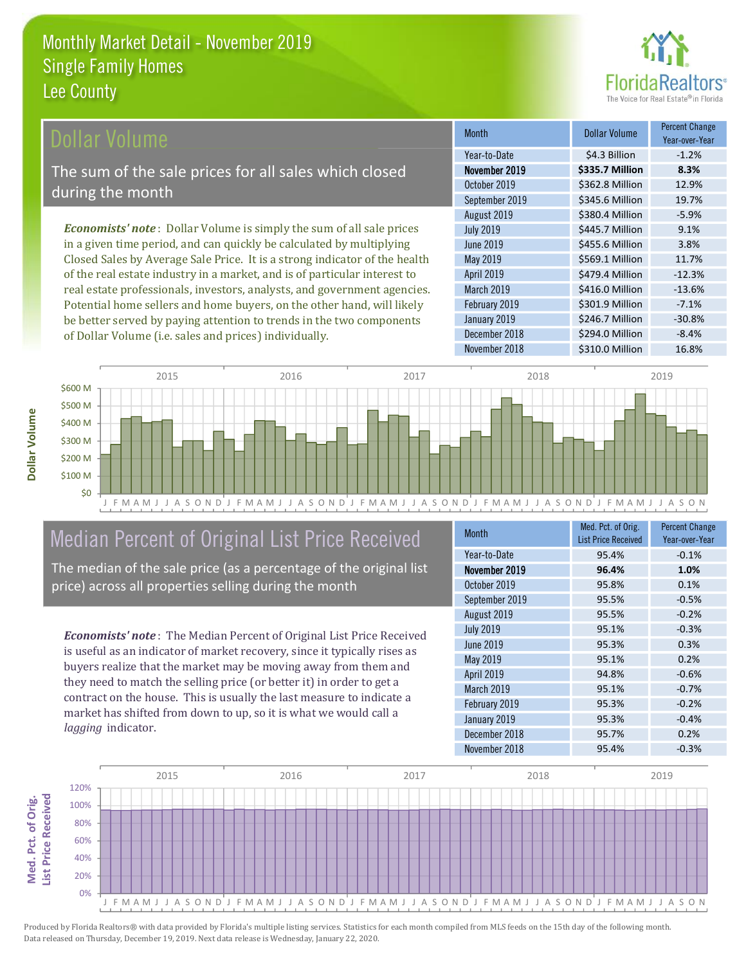

#### ollar Volume

The sum of the sale prices for all sales which closed during the month

**Economists' note**: Dollar Volume is simply the sum of all sale prices in a given time period, and can quickly be calculated by multiplying Closed Sales by Average Sale Price. It is a strong indicator of the health of the real estate industry in a market, and is of particular interest to real estate professionals, investors, analysts, and government agencies. Potential home sellers and home buyers, on the other hand, will likely be better served by paying attention to trends in the two components of Dollar Volume (i.e. sales and prices) individually.

| <b>Month</b>      | Dollar Volume   | <b>Percent Change</b><br>Year-over-Year |
|-------------------|-----------------|-----------------------------------------|
| Year-to-Date      | \$4.3 Billion   | $-1.2%$                                 |
| November 2019     | \$335.7 Million | 8.3%                                    |
| October 2019      | \$362.8 Million | 12.9%                                   |
| September 2019    | \$345.6 Million | 19.7%                                   |
| August 2019       | \$380.4 Million | $-5.9%$                                 |
| <b>July 2019</b>  | \$445.7 Million | 9.1%                                    |
| June 2019         | \$455.6 Million | 3.8%                                    |
| May 2019          | \$569.1 Million | 11.7%                                   |
| <b>April 2019</b> | \$479.4 Million | $-12.3%$                                |
| March 2019        | \$416.0 Million | $-13.6%$                                |
| February 2019     | \$301.9 Million | $-7.1%$                                 |
| January 2019      | \$246.7 Million | $-30.8%$                                |
| December 2018     | \$294.0 Million | $-8.4%$                                 |
| November 2018     | \$310.0 Million | 16.8%                                   |



### Median Percent of Original List Price Received

The median of the sale price (as a percentage of the original list price) across all properties selling during the month

**Economists' note:** The Median Percent of Original List Price Received is useful as an indicator of market recovery, since it typically rises as buyers realize that the market may be moving away from them and they need to match the selling price (or better it) in order to get a contract on the house. This is usually the last measure to indicate a market has shifted from down to up, so it is what we would call a lagging indicator.

| <b>Month</b>     | Med. Pct. of Orig.<br><b>List Price Received</b> | <b>Percent Change</b><br>Year-over-Year |
|------------------|--------------------------------------------------|-----------------------------------------|
| Year-to-Date     | 95.4%                                            | $-0.1%$                                 |
| November 2019    | 96.4%                                            | 1.0%                                    |
| October 2019     | 95.8%                                            | 0.1%                                    |
| September 2019   | 95.5%                                            | $-0.5%$                                 |
| August 2019      | 95.5%                                            | $-0.2%$                                 |
| <b>July 2019</b> | 95.1%                                            | $-0.3%$                                 |
| <b>June 2019</b> | 95.3%                                            | 0.3%                                    |
| May 2019         | 95.1%                                            | 0.2%                                    |
| April 2019       | 94.8%                                            | $-0.6%$                                 |
| March 2019       | 95.1%                                            | $-0.7%$                                 |
| February 2019    | 95.3%                                            | $-0.2%$                                 |
| January 2019     | 95.3%                                            | $-0.4%$                                 |
| December 2018    | 95.7%                                            | 0.2%                                    |
| November 2018    | 95.4%                                            | $-0.3%$                                 |

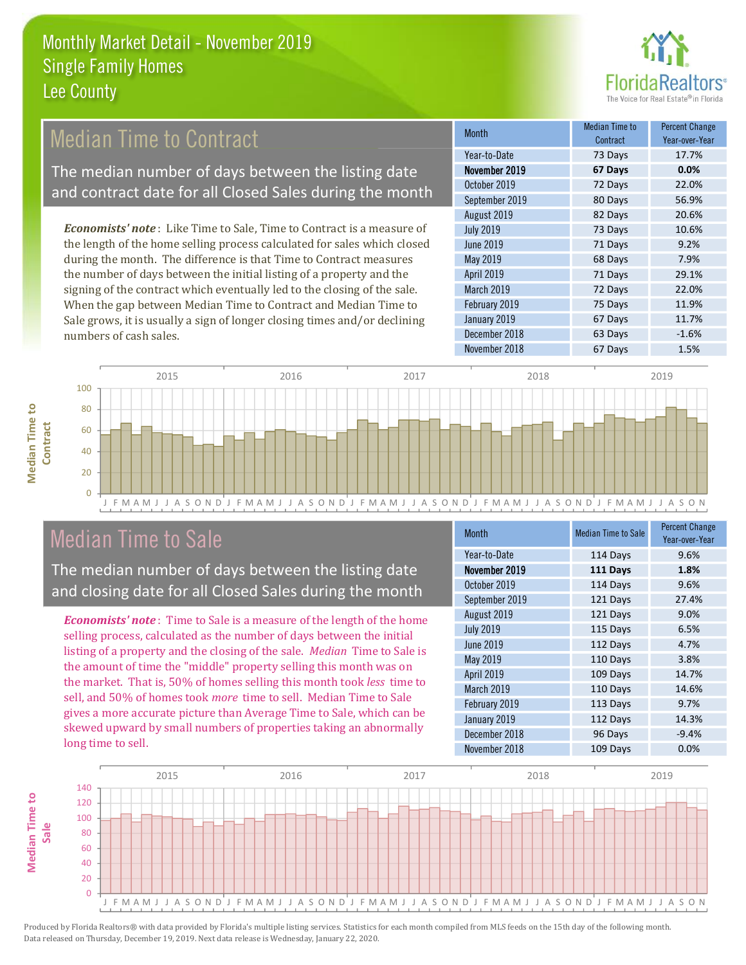

### **Median Time to Contract**

The median number of days between the listing date and contract date for all Closed Sales during the month

**Economists' note:** Like Time to Sale, Time to Contract is a measure of the length of the home selling process calculated for sales which closed during the month. The difference is that Time to Contract measures the number of days between the initial listing of a property and the signing of the contract which eventually led to the closing of the sale. When the gap between Median Time to Contract and Median Time to Sale grows, it is usually a sign of longer closing times and/or declining numbers of cash sales.

| Month             | <b>Median Time to</b><br>Contract | <b>Percent Change</b><br>Year-over-Year |
|-------------------|-----------------------------------|-----------------------------------------|
| Year-to-Date      | 73 Days                           | 17.7%                                   |
| November 2019     | 67 Days                           | 0.0%                                    |
| October 2019      | 72 Days                           | 22.0%                                   |
| September 2019    | 80 Days                           | 56.9%                                   |
| August 2019       | 82 Days                           | 20.6%                                   |
| <b>July 2019</b>  | 73 Days                           | 10.6%                                   |
| June 2019         | 71 Days                           | 9.2%                                    |
| May 2019          | 68 Days                           | 7.9%                                    |
| <b>April 2019</b> | 71 Days                           | 29.1%                                   |
| March 2019        | 72 Days                           | 22.0%                                   |
| February 2019     | 75 Days                           | 11.9%                                   |
| January 2019      | 67 Days                           | 11.7%                                   |
| December 2018     | 63 Days                           | $-1.6%$                                 |
| November 2018     | 67 Days                           | 1.5%                                    |



### **Median Time to Sale**

**Median Time to** 

**Median Time to** 

The median number of days between the listing date and closing date for all Closed Sales during the month

**Economists' note**: Time to Sale is a measure of the length of the home selling process, calculated as the number of days between the initial listing of a property and the closing of the sale. Median Time to Sale is the amount of time the "middle" property selling this month was on the market. That is, 50% of homes selling this month took less time to sell, and 50% of homes took more time to sell. Median Time to Sale gives a more accurate picture than Average Time to Sale, which can be skewed upward by small numbers of properties taking an abnormally long time to sell.

| <b>Month</b>     | <b>Median Time to Sale</b> | <b>Percent Change</b><br>Year-over-Year |
|------------------|----------------------------|-----------------------------------------|
| Year-to-Date     | 114 Days                   | 9.6%                                    |
| November 2019    | 111 Days                   | 1.8%                                    |
| October 2019     | 114 Days                   | 9.6%                                    |
| September 2019   | 121 Days                   | 27.4%                                   |
| August 2019      | 121 Days                   | 9.0%                                    |
| <b>July 2019</b> | 115 Days                   | 6.5%                                    |
| <b>June 2019</b> | 112 Days                   | 4.7%                                    |
| May 2019         | 110 Days                   | 3.8%                                    |
| April 2019       | 109 Days                   | 14.7%                                   |
| March 2019       | 110 Days                   | 14.6%                                   |
| February 2019    | 113 Days                   | 9.7%                                    |
| January 2019     | 112 Days                   | 14.3%                                   |
| December 2018    | 96 Days                    | $-9.4%$                                 |
| November 2018    | 109 Days                   | 0.0%                                    |

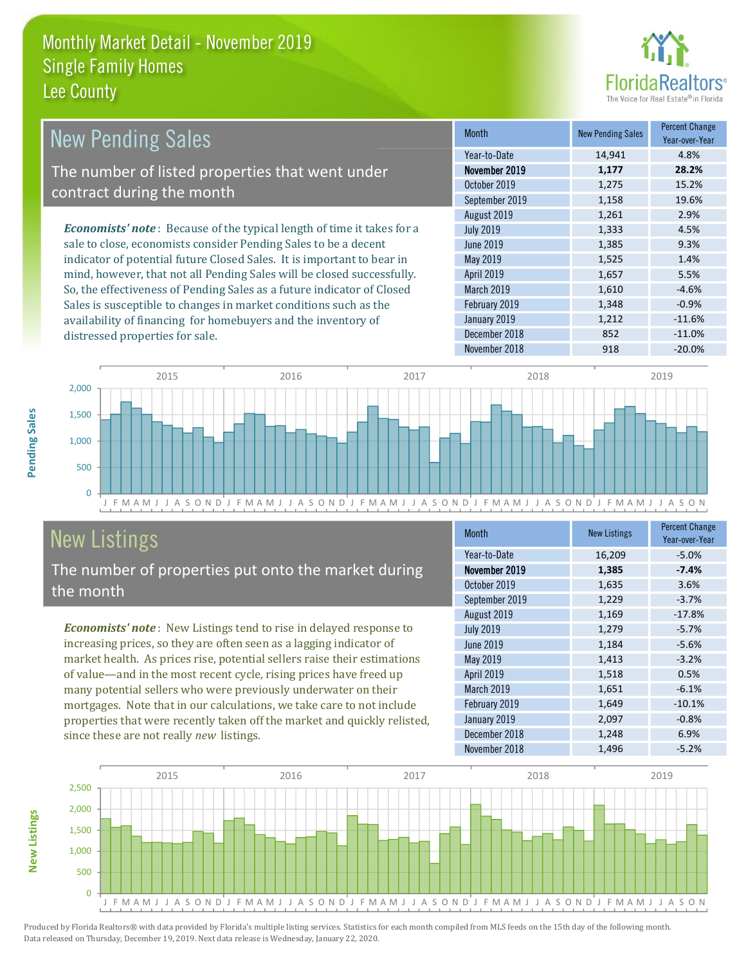

| <b>New Pending Sales</b>                                                      | <b>Month</b>      | <b>New Pending Sales</b> | <b>Percent Change</b><br>Year-over-Year |
|-------------------------------------------------------------------------------|-------------------|--------------------------|-----------------------------------------|
|                                                                               | Year-to-Date      | 14,941                   | 4.8%                                    |
| The number of listed properties that went under                               | November 2019     | 1,177                    | 28.2%                                   |
| contract during the month                                                     | October 2019      | 1,275                    | 15.2%                                   |
|                                                                               | September 2019    | 1,158                    | 19.6%                                   |
|                                                                               | August 2019       | 1,261                    | 2.9%                                    |
| <b>Economists' note:</b> Because of the typical length of time it takes for a | <b>July 2019</b>  | 1,333                    | 4.5%                                    |
| sale to close, economists consider Pending Sales to be a decent               | June 2019         | 1,385                    | 9.3%                                    |
| indicator of potential future Closed Sales. It is important to bear in        | May 2019          | 1,525                    | 1.4%                                    |
| mind, however, that not all Pending Sales will be closed successfully.        | <b>April 2019</b> | 1,657                    | 5.5%                                    |
| So, the effectiveness of Pending Sales as a future indicator of Closed        | March 2019        | 1,610                    | $-4.6%$                                 |
| Sales is susceptible to changes in market conditions such as the              | February 2019     | 1,348                    | $-0.9%$                                 |
| availability of financing for homebuyers and the inventory of                 | January 2019      | 1,212                    | $-11.6%$                                |



December 2018

## **New Listings**

distressed properties for sale.

The number of properties put onto the market during the month

Economists' note: New Listings tend to rise in delayed response to increasing prices, so they are often seen as a lagging indicator of market health. As prices rise, potential sellers raise their estimations of value—and in the most recent cycle, rising prices have freed up many potential sellers who were previously underwater on their mortgages. Note that in our calculations, we take care to not include properties that were recently taken off the market and quickly relisted, since these are not really new listings.

| <b>Month</b>     | <b>New Listings</b> | <b>Percent Change</b><br>Year-over-Year |
|------------------|---------------------|-----------------------------------------|
| Year-to-Date     | 16,209              | $-5.0%$                                 |
| November 2019    | 1,385               | $-7.4%$                                 |
| October 2019     | 1,635               | 3.6%                                    |
| September 2019   | 1,229               | $-3.7%$                                 |
| August 2019      | 1,169               | $-17.8%$                                |
| <b>July 2019</b> | 1,279               | $-5.7%$                                 |
| <b>June 2019</b> | 1,184               | $-5.6%$                                 |
| May 2019         | 1,413               | $-3.2%$                                 |
| April 2019       | 1,518               | 0.5%                                    |
| March 2019       | 1,651               | $-6.1%$                                 |
| February 2019    | 1,649               | $-10.1%$                                |
| January 2019     | 2,097               | $-0.8%$                                 |
| December 2018    | 1,248               | 6.9%                                    |
| November 2018    | 1,496               | $-5.2%$                                 |

852

 $-11.0%$ 



Produced by Florida Realtors® with data provided by Florida's multiple listing services. Statistics for each month compiled from MLS feeds on the 15th day of the following month. Data released on Thursday, December 19, 2019. Next data release is Wednesday, January 22, 2020.

**New Listings**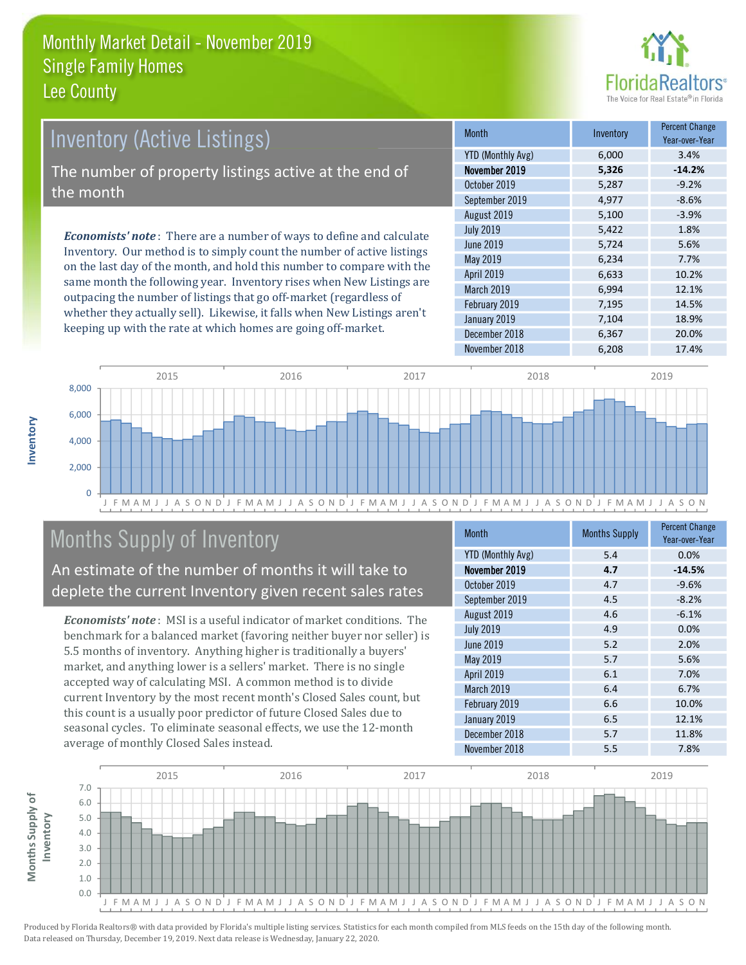

# **Inventory (Active Listings)** The number of property listings active at the end of the month

**Economists' note:** There are a number of ways to define and calculate Inventory. Our method is to simply count the number of active listings on the last day of the month, and hold this number to compare with the same month the following year. Inventory rises when New Listings are outpacing the number of listings that go off-market (regardless of whether they actually sell). Likewise, it falls when New Listings aren't keeping up with the rate at which homes are going off-market.

| <b>Month</b>             | Inventory | <b>Percent Change</b><br>Year-over-Year |
|--------------------------|-----------|-----------------------------------------|
| <b>YTD (Monthly Avg)</b> | 6,000     | 3.4%                                    |
| November 2019            | 5,326     | $-14.2%$                                |
| October 2019             | 5,287     | $-9.2%$                                 |
| September 2019           | 4,977     | $-8.6%$                                 |
| August 2019              | 5,100     | $-3.9%$                                 |
| <b>July 2019</b>         | 5,422     | 1.8%                                    |
| June 2019                | 5,724     | 5.6%                                    |
| May 2019                 | 6,234     | 7.7%                                    |
| April 2019               | 6,633     | 10.2%                                   |
| March 2019               | 6,994     | 12.1%                                   |
| February 2019            | 7,195     | 14.5%                                   |
| January 2019             | 7,104     | 18.9%                                   |
| December 2018            | 6,367     | 20.0%                                   |
| November 2018            | 6,208     | 17.4%                                   |



### **Months Supply of Inventory**

An estimate of the number of months it will take to deplete the current Inventory given recent sales rates

**Economists' note:** MSI is a useful indicator of market conditions. The benchmark for a balanced market (favoring neither buyer nor seller) is 5.5 months of inventory. Anything higher is traditionally a buyers' market, and anything lower is a sellers' market. There is no single accepted way of calculating MSI. A common method is to divide current Inventory by the most recent month's Closed Sales count, but this count is a usually poor predictor of future Closed Sales due to seasonal cycles. To eliminate seasonal effects, we use the 12-month average of monthly Closed Sales instead.

| <b>Month</b>             | <b>Months Supply</b> | <b>Percent Change</b><br>Year-over-Year |
|--------------------------|----------------------|-----------------------------------------|
| <b>YTD (Monthly Avg)</b> | 5.4                  | 0.0%                                    |
| November 2019            | 4.7                  | $-14.5%$                                |
| October 2019             | 4.7                  | $-9.6%$                                 |
| September 2019           | 4.5                  | $-8.2%$                                 |
| August 2019              | 4.6                  | $-6.1%$                                 |
| <b>July 2019</b>         | 4.9                  | 0.0%                                    |
| <b>June 2019</b>         | 5.2                  | 2.0%                                    |
| May 2019                 | 5.7                  | 5.6%                                    |
| April 2019               | 6.1                  | 7.0%                                    |
| March 2019               | 6.4                  | 6.7%                                    |
| February 2019            | 6.6                  | 10.0%                                   |
| January 2019             | 6.5                  | 12.1%                                   |
| December 2018            | 5.7                  | 11.8%                                   |
| November 2018            | 5.5                  | 7.8%                                    |

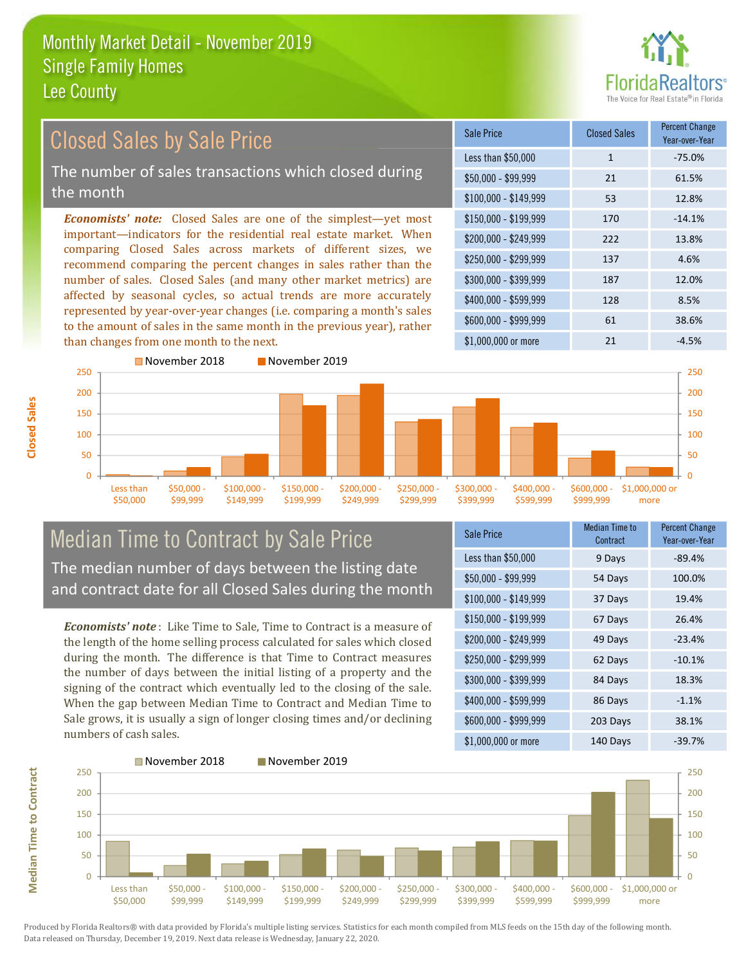

#### **Percent Change Closed Sales by Sale Price Closed Sales** Sale Price Year-over-Year Less than \$50,000  $\mathbf 1$  $-75.0%$ The number of sales transactions which closed during  $$50.000 - $99.999$  $21$ 61.5% the month 53 12.8%  $$100,000 - $149,999$ **Economists' note:** Closed Sales are one of the simplest—yet most \$150,000 - \$199.999 170  $-14.1%$ important-indicators for the residential real estate market. When \$200.000 - \$249.999 222 13.8% comparing Closed Sales across markets of different sizes, we \$250,000 - \$299.999 137 4.6% recommend comparing the percent changes in sales rather than the number of sales. Closed Sales (and many other market metrics) are \$300,000 - \$399,999 187 12.0% affected by seasonal cycles, so actual trends are more accurately \$400,000 - \$599,999 128 8.5% represented by year-over-year changes (i.e. comparing a month's sales \$600.000 - \$999.999 61 38.6% to the amount of sales in the same month in the previous year), rather than changes from one month to the next. \$1,000,000 or more  $\overline{21}$  $-4.5%$ November 2018 November 2019



#### **Median Time to Contract by Sale Price** The median number of days between the listing date and contract date for all Closed Sales during the month

**Economists' note**: Like Time to Sale. Time to Contract is a measure of the length of the home selling process calculated for sales which closed during the month. The difference is that Time to Contract measures the number of days between the initial listing of a property and the signing of the contract which eventually led to the closing of the sale. When the gap between Median Time to Contract and Median Time to Sale grows, it is usually a sign of longer closing times and/or declining numbers of cash sales.

| <b>Sale Price</b>     | Median Time to<br>Contract | <b>Percent Change</b><br>Year-over-Year |
|-----------------------|----------------------------|-----------------------------------------|
| Less than \$50,000    | 9 Days                     | $-89.4%$                                |
| $$50,000 - $99,999$   | 54 Days                    | 100.0%                                  |
| $$100,000 - $149,999$ | 37 Days                    | 19.4%                                   |
| $$150,000 - $199,999$ | 67 Days                    | 26.4%                                   |
| \$200,000 - \$249,999 | 49 Days                    | $-23.4%$                                |
| \$250,000 - \$299,999 | 62 Days                    | $-10.1%$                                |
| \$300,000 - \$399,999 | 84 Days                    | 18.3%                                   |
| \$400,000 - \$599,999 | 86 Days                    | $-1.1%$                                 |
| \$600,000 - \$999,999 | 203 Days                   | 38.1%                                   |
| \$1,000,000 or more   | 140 Davs                   | $-39.7%$                                |

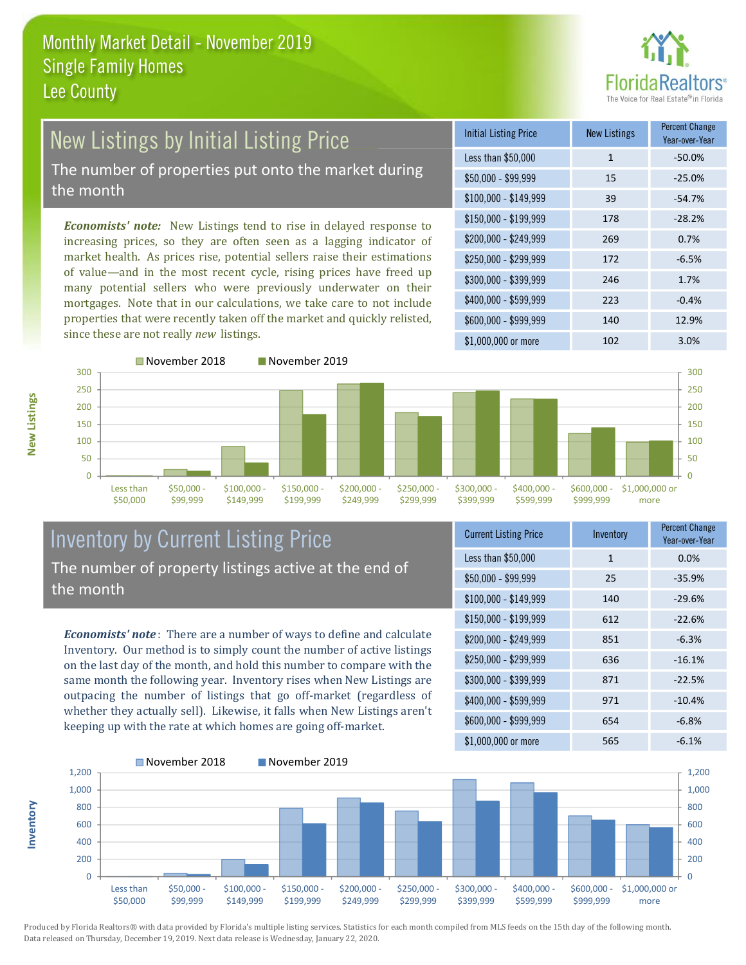

### **New Listings by Initial Listing Price** The number of properties put onto the market during

the month

Economists' note: New Listings tend to rise in delayed response to increasing prices, so they are often seen as a lagging indicator of market health. As prices rise, potential sellers raise their estimations of value—and in the most recent cycle, rising prices have freed up many potential sellers who were previously underwater on their mortgages. Note that in our calculations, we take care to not include properties that were recently taken off the market and quickly relisted, since these are not really new listings.

| <b>Initial Listing Price</b> | <b>New Listings</b> | <b>Percent Change</b><br>Year-over-Year |
|------------------------------|---------------------|-----------------------------------------|
| Less than \$50,000           | $\mathbf{1}$        | $-50.0%$                                |
| \$50,000 - \$99,999          | 15                  | $-25.0%$                                |
| $$100,000 - $149,999$        | 39                  | $-54.7%$                                |
| $$150,000 - $199,999$        | 178                 | $-28.2%$                                |
| \$200,000 - \$249,999        | 269                 | 0.7%                                    |
| \$250,000 - \$299,999        | 172                 | $-6.5%$                                 |
| \$300,000 - \$399,999        | 246                 | 1.7%                                    |
| \$400,000 - \$599,999        | 223                 | $-0.4%$                                 |
| \$600,000 - \$999,999        | 140                 | 12.9%                                   |
| \$1,000,000 or more          | 102                 | 3.0%                                    |



nventory



#### **Inventory by Current Listing Price** The number of property listings active at the end of the month

**Economists' note**: There are a number of ways to define and calculate Inventory. Our method is to simply count the number of active listings on the last day of the month, and hold this number to compare with the same month the following year. Inventory rises when New Listings are outpacing the number of listings that go off-market (regardless of whether they actually sell). Likewise, it falls when New Listings aren't keeping up with the rate at which homes are going off-market.

| <b>Current Listing Price</b> | Inventory    | <b>Percent Griange</b><br>Year-over-Year |
|------------------------------|--------------|------------------------------------------|
| Less than \$50,000           | $\mathbf{1}$ | 0.0%                                     |
| $$50,000 - $99,999$          | 25           | $-35.9%$                                 |
| $$100,000 - $149,999$        | 140          | $-29.6%$                                 |
| $$150,000 - $199,999$        | 612          | $-22.6%$                                 |
| \$200,000 - \$249,999        | 851          | $-6.3%$                                  |
| \$250,000 - \$299,999        | 636          | $-16.1%$                                 |
| \$300,000 - \$399,999        | 871          | $-22.5%$                                 |
| \$400,000 - \$599,999        | 971          | $-10.4%$                                 |
| \$600,000 - \$999,999        | 654          | $-6.8%$                                  |
| \$1,000,000 or more          | 565          | $-6.1%$                                  |

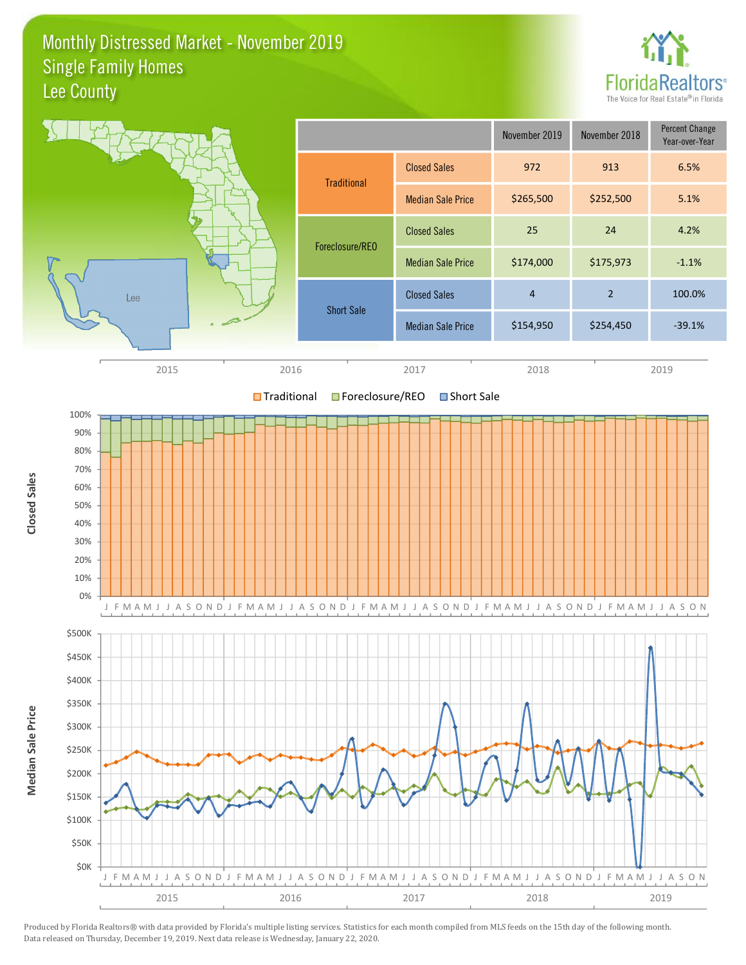#### Monthly Distressed Market - November 2019 **Single Family Homes** Lee County



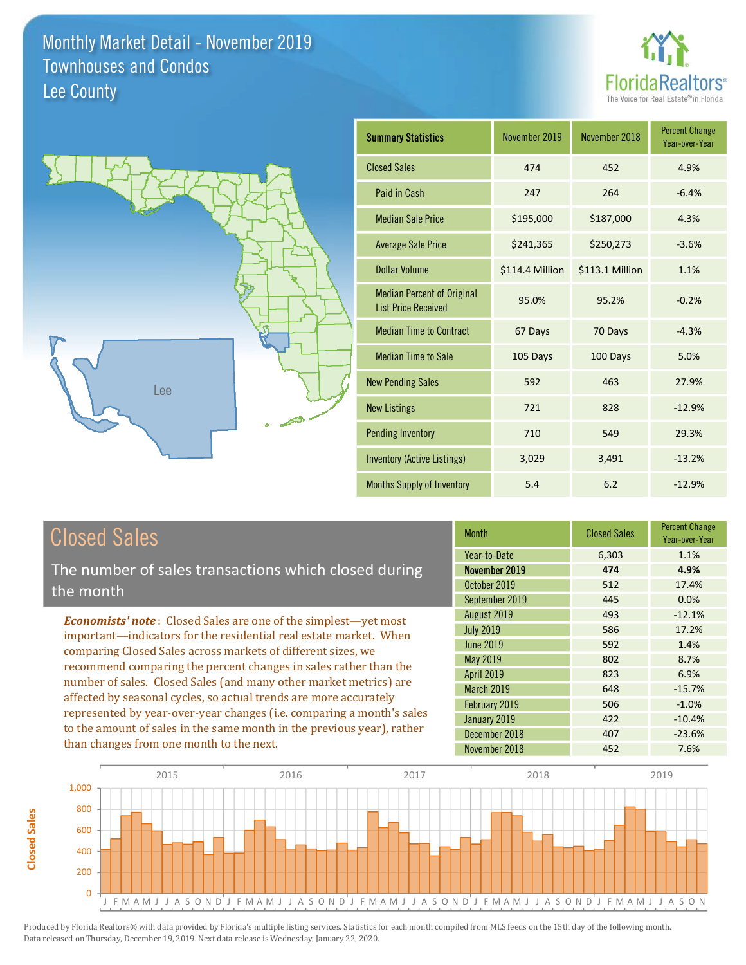



| <b>Summary Statistics</b>                                       | November 2019   | November 2018   | <b>Percent Change</b><br>Year-over-Year |
|-----------------------------------------------------------------|-----------------|-----------------|-----------------------------------------|
| <b>Closed Sales</b>                                             | 474             | 452             | 4.9%                                    |
| Paid in Cash                                                    | 247             | 264             | $-6.4%$                                 |
| <b>Median Sale Price</b>                                        | \$195,000       | \$187,000       | 4.3%                                    |
| <b>Average Sale Price</b>                                       | \$241,365       | \$250,273       | $-3.6%$                                 |
| Dollar Volume                                                   | \$114.4 Million | \$113.1 Million | 1.1%                                    |
| <b>Median Percent of Original</b><br><b>List Price Received</b> | 95.0%           | 95.2%           | $-0.2%$                                 |
| <b>Median Time to Contract</b>                                  | 67 Days         | 70 Days         | $-4.3%$                                 |
| <b>Median Time to Sale</b>                                      | 105 Days        | 100 Days        | 5.0%                                    |
| <b>New Pending Sales</b>                                        | 592             | 463             | 27.9%                                   |
| <b>New Listings</b>                                             | 721             | 828             | $-12.9%$                                |
| <b>Pending Inventory</b>                                        | 710             | 549             | 29.3%                                   |
| <b>Inventory (Active Listings)</b>                              | 3,029           | 3,491           | $-13.2%$                                |
| Months Supply of Inventory                                      | 5.4             | 6.2             | $-12.9%$                                |

### **Closed Sales**

**Closed Sales** 

The number of sales transactions which closed during the month

**Economists' note:** Closed Sales are one of the simplest-yet most important-indicators for the residential real estate market. When comparing Closed Sales across markets of different sizes, we recommend comparing the percent changes in sales rather than the number of sales. Closed Sales (and many other market metrics) are affected by seasonal cycles, so actual trends are more accurately represented by year-over-year changes (i.e. comparing a month's sales to the amount of sales in the same month in the previous year), rather than changes from one month to the next.

| <b>Month</b>     | <b>Closed Sales</b> | <b>Percent Change</b><br>Year-over-Year |
|------------------|---------------------|-----------------------------------------|
| Year-to-Date     | 6,303               | 1.1%                                    |
| November 2019    | 474                 | 4.9%                                    |
| October 2019     | 512                 | 17.4%                                   |
| September 2019   | 445                 | 0.0%                                    |
| August 2019      | 493                 | $-12.1%$                                |
| <b>July 2019</b> | 586                 | 17.2%                                   |
| <b>June 2019</b> | 592                 | 1.4%                                    |
| <b>May 2019</b>  | 802                 | 8.7%                                    |
| April 2019       | 823                 | 6.9%                                    |
| March 2019       | 648                 | $-15.7%$                                |
| February 2019    | 506                 | $-1.0%$                                 |
| January 2019     | 422                 | $-10.4%$                                |
| December 2018    | 407                 | $-23.6%$                                |
| November 2018    | 452                 | 7.6%                                    |

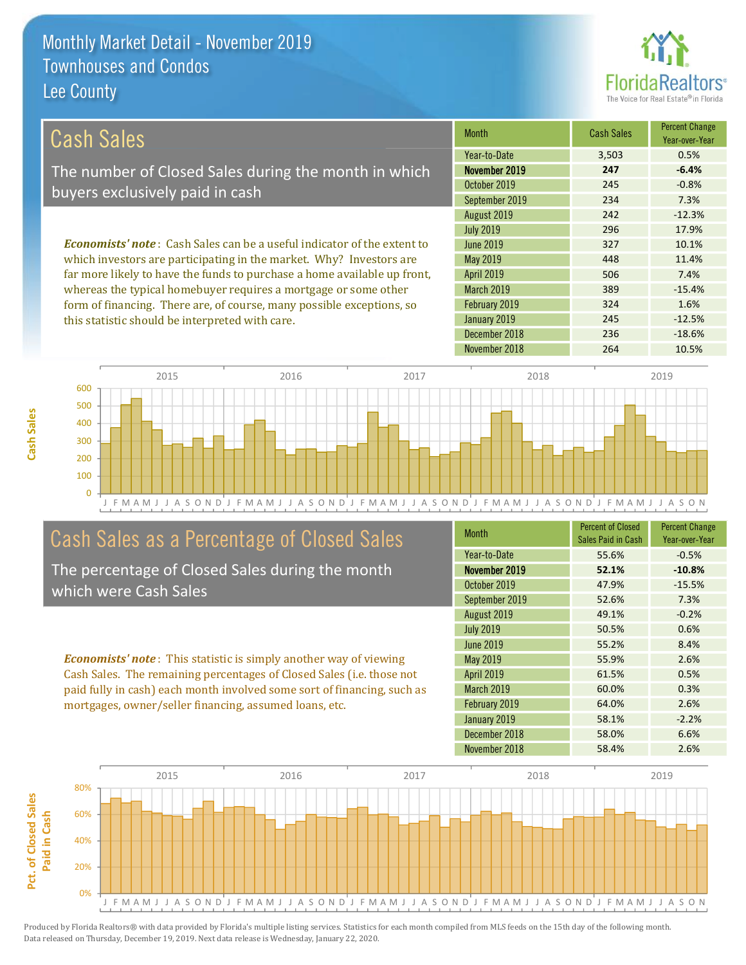this statistic should be interpreted with care.



 $-12.5%$ 

 $-18.6%$ 

| Cash Sales                                                                      | <b>Month</b>      | <b>Cash Sales</b> | <b>Percent Change</b><br>Year-over-Year |
|---------------------------------------------------------------------------------|-------------------|-------------------|-----------------------------------------|
|                                                                                 | Year-to-Date      | 3,503             | 0.5%                                    |
| The number of Closed Sales during the month in which                            | November 2019     | 247               | $-6.4%$                                 |
| buyers exclusively paid in cash                                                 | October 2019      | 245               | $-0.8%$                                 |
|                                                                                 | September 2019    | 234               | 7.3%                                    |
|                                                                                 | August 2019       | 242               | $-12.3%$                                |
|                                                                                 | <b>July 2019</b>  | 296               | 17.9%                                   |
| <b>Economists' note</b> : Cash Sales can be a useful indicator of the extent to | June 2019         | 327               | 10.1%                                   |
| which investors are participating in the market. Why? Investors are             | May 2019          | 448               | 11.4%                                   |
| far more likely to have the funds to purchase a home available up front,        | <b>April 2019</b> | 506               | 7.4%                                    |
| whereas the typical homebuyer requires a mortgage or some other                 | <b>March 2019</b> | 389               | $-15.4%$                                |
| form of financing. There are, of course, many possible exceptions, so           | February 2019     | 324               | 1.6%                                    |

January 2019

December 2018



### Cash Sales as a Percentage of Closed Sales

The percentage of Closed Sales during the month which were Cash Sales

**Economists' note:** This statistic is simply another way of viewing Cash Sales. The remaining percentages of Closed Sales (i.e. those not paid fully in cash) each month involved some sort of financing, such as mortgages, owner/seller financing, assumed loans, etc.

| <b>Month</b>      | <b>Percent of Closed</b><br>Sales Paid in Cash | <b>Percent Change</b><br>Year-over-Year |
|-------------------|------------------------------------------------|-----------------------------------------|
| Year-to-Date      | 55.6%                                          | $-0.5%$                                 |
| November 2019     | 52.1%                                          | $-10.8%$                                |
| October 2019      | 47.9%                                          | $-15.5%$                                |
| September 2019    | 52.6%                                          | 7.3%                                    |
| August 2019       | 49.1%                                          | $-0.2%$                                 |
| <b>July 2019</b>  | 50.5%                                          | 0.6%                                    |
| <b>June 2019</b>  | 55.2%                                          | 8.4%                                    |
| May 2019          | 55.9%                                          | 2.6%                                    |
| April 2019        | 61.5%                                          | 0.5%                                    |
| <b>March 2019</b> | 60.0%                                          | 0.3%                                    |
| February 2019     | 64.0%                                          | 2.6%                                    |
| January 2019      | 58.1%                                          | $-2.2%$                                 |
| December 2018     | 58.0%                                          | 6.6%                                    |
| November 2018     | 58.4%                                          | 2.6%                                    |

245

236

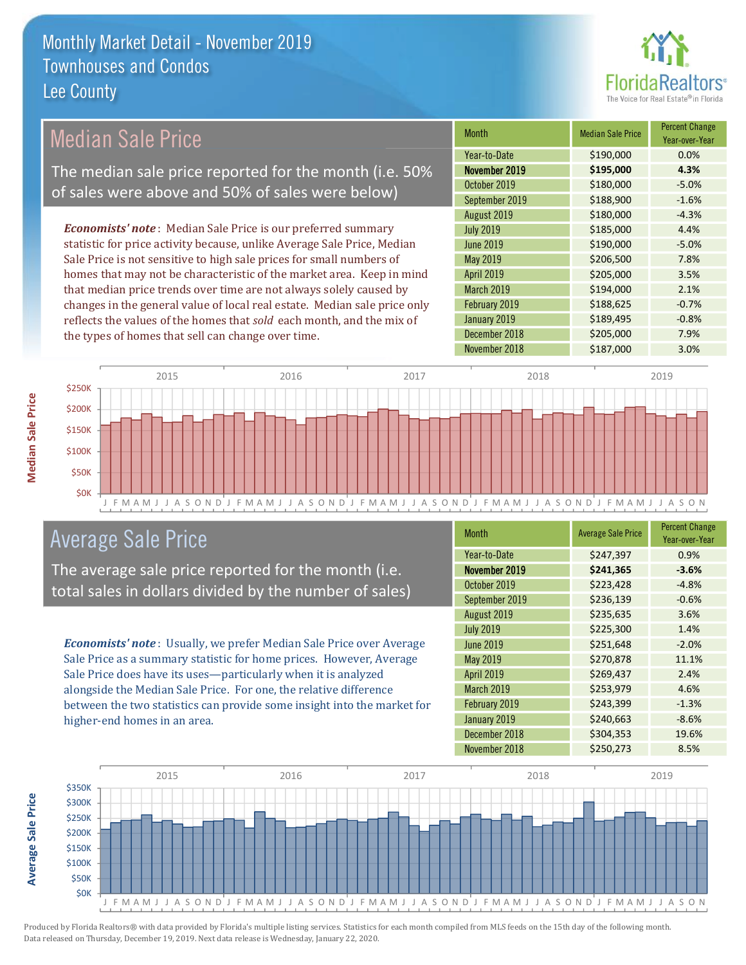

### **Median Sale Price**

The median sale price reported for the month (i.e. 50% of sales were above and 50% of sales were below)

**Economists' note**: Median Sale Price is our preferred summary statistic for price activity because, unlike Average Sale Price, Median Sale Price is not sensitive to high sale prices for small numbers of homes that may not be characteristic of the market area. Keep in mind that median price trends over time are not always solely caused by changes in the general value of local real estate. Median sale price only reflects the values of the homes that sold each month, and the mix of the types of homes that sell can change over time.

| <b>Month</b>     | <b>Median Sale Price</b> | <b>Percent Change</b><br>Year-over-Year |
|------------------|--------------------------|-----------------------------------------|
| Year-to-Date     | \$190,000                | 0.0%                                    |
| November 2019    | \$195,000                | 4.3%                                    |
| October 2019     | \$180,000                | $-5.0%$                                 |
| September 2019   | \$188,900                | $-1.6%$                                 |
| August 2019      | \$180,000                | $-4.3%$                                 |
| <b>July 2019</b> | \$185,000                | 4.4%                                    |
| <b>June 2019</b> | \$190,000                | $-5.0%$                                 |
| May 2019         | \$206,500                | 7.8%                                    |
| April 2019       | \$205,000                | 3.5%                                    |
| March 2019       | \$194,000                | 2.1%                                    |
| February 2019    | \$188,625                | $-0.7%$                                 |
| January 2019     | \$189,495                | $-0.8%$                                 |
| December 2018    | \$205,000                | 7.9%                                    |
| November 2018    | \$187,000                | 3.0%                                    |



### **Average Sale Price**

The average sale price reported for the month (i.e. total sales in dollars divided by the number of sales)

Economists' note: Usually, we prefer Median Sale Price over Average Sale Price as a summary statistic for home prices. However, Average Sale Price does have its uses-particularly when it is analyzed alongside the Median Sale Price. For one, the relative difference between the two statistics can provide some insight into the market for higher-end homes in an area.

| <b>Month</b>      | <b>Average Sale Price</b> | <b>Percent Change</b><br>Year-over-Year |
|-------------------|---------------------------|-----------------------------------------|
| Year-to-Date      | \$247,397                 | 0.9%                                    |
| November 2019     | \$241,365                 | $-3.6%$                                 |
| October 2019      | \$223,428                 | $-4.8%$                                 |
| September 2019    | \$236,139                 | $-0.6%$                                 |
| August 2019       | \$235,635                 | 3.6%                                    |
| <b>July 2019</b>  | \$225,300                 | 1.4%                                    |
| <b>June 2019</b>  | \$251,648                 | $-2.0%$                                 |
| May 2019          | \$270,878                 | 11.1%                                   |
| April 2019        | \$269,437                 | 2.4%                                    |
| <b>March 2019</b> | \$253,979                 | 4.6%                                    |
| February 2019     | \$243,399                 | $-1.3%$                                 |
| January 2019      | \$240,663                 | $-8.6%$                                 |
| December 2018     | \$304,353                 | 19.6%                                   |
| November 2018     | \$250,273                 | 8.5%                                    |



Produced by Florida Realtors® with data provided by Florida's multiple listing services. Statistics for each month compiled from MLS feeds on the 15th day of the following month. Data released on Thursday, December 19, 2019. Next data release is Wednesday, January 22, 2020.

**Average Sale Price**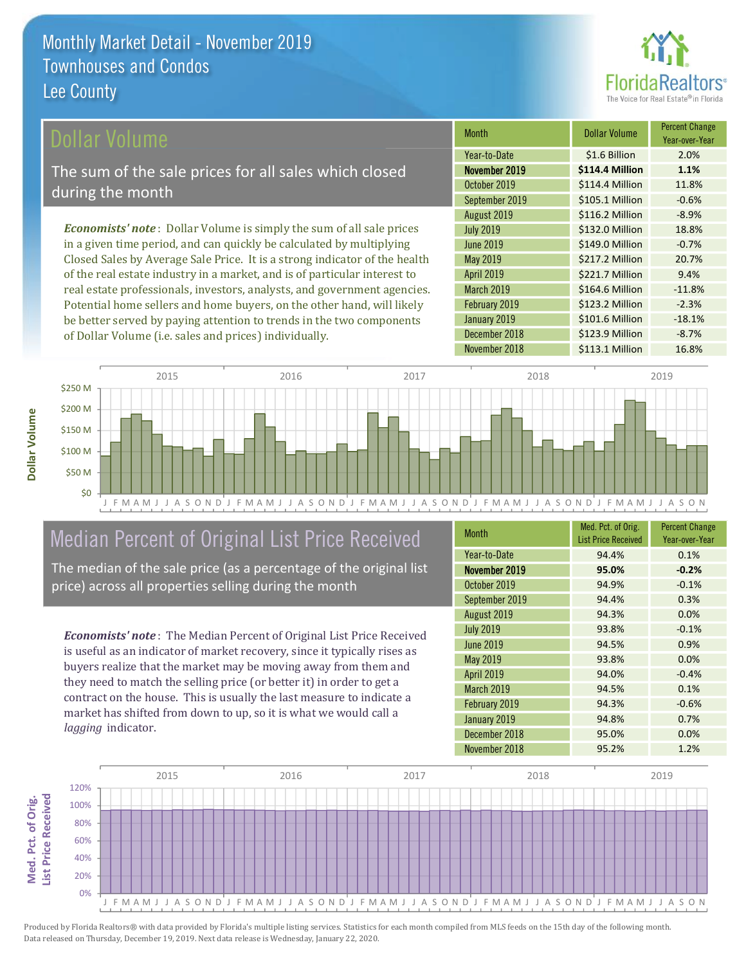

#### ollar Volume

The sum of the sale prices for all sales which closed during the month

**Economists' note**: Dollar Volume is simply the sum of all sale prices in a given time period, and can quickly be calculated by multiplying Closed Sales by Average Sale Price. It is a strong indicator of the health of the real estate industry in a market, and is of particular interest to real estate professionals, investors, analysts, and government agencies. Potential home sellers and home buyers, on the other hand, will likely be better served by paying attention to trends in the two components of Dollar Volume (i.e. sales and prices) individually.

| <b>Month</b>     | Dollar Volume   | <b>Percent Change</b><br>Year-over-Year |
|------------------|-----------------|-----------------------------------------|
| Year-to-Date     | \$1.6 Billion   | 2.0%                                    |
| November 2019    | \$114.4 Million | 1.1%                                    |
| October 2019     | \$114.4 Million | 11.8%                                   |
| September 2019   | \$105.1 Million | $-0.6%$                                 |
| August 2019      | \$116.2 Million | $-8.9%$                                 |
| <b>July 2019</b> | \$132.0 Million | 18.8%                                   |
| <b>June 2019</b> | \$149.0 Million | $-0.7%$                                 |
| May 2019         | \$217.2 Million | 20.7%                                   |
| April 2019       | \$221.7 Million | 9.4%                                    |
| March 2019       | \$164.6 Million | $-11.8%$                                |
| February 2019    | \$123.2 Million | $-2.3%$                                 |
| January 2019     | \$101.6 Million | $-18.1%$                                |
| December 2018    | \$123.9 Million | $-8.7%$                                 |
| November 2018    | \$113.1 Million | 16.8%                                   |



### Median Percent of Original List Price Received

The median of the sale price (as a percentage of the original list price) across all properties selling during the month

**Economists' note:** The Median Percent of Original List Price Received is useful as an indicator of market recovery, since it typically rises as buyers realize that the market may be moving away from them and they need to match the selling price (or better it) in order to get a contract on the house. This is usually the last measure to indicate a market has shifted from down to up, so it is what we would call a lagging indicator.

| <b>Month</b>      | Med. Pct. of Orig.<br><b>List Price Received</b> | <b>Percent Change</b><br>Year-over-Year |
|-------------------|--------------------------------------------------|-----------------------------------------|
| Year-to-Date      | 94.4%                                            | 0.1%                                    |
| November 2019     | 95.0%                                            | $-0.2%$                                 |
| October 2019      | 94.9%                                            | $-0.1%$                                 |
| September 2019    | 94.4%                                            | 0.3%                                    |
| August 2019       | 94.3%                                            | 0.0%                                    |
| <b>July 2019</b>  | 93.8%                                            | $-0.1%$                                 |
| June 2019         | 94.5%                                            | 0.9%                                    |
| May 2019          | 93.8%                                            | 0.0%                                    |
| <b>April 2019</b> | 94.0%                                            | $-0.4%$                                 |
| March 2019        | 94.5%                                            | 0.1%                                    |
| February 2019     | 94.3%                                            | $-0.6%$                                 |
| January 2019      | 94.8%                                            | 0.7%                                    |
| December 2018     | 95.0%                                            | 0.0%                                    |
| November 2018     | 95.2%                                            | 1.2%                                    |

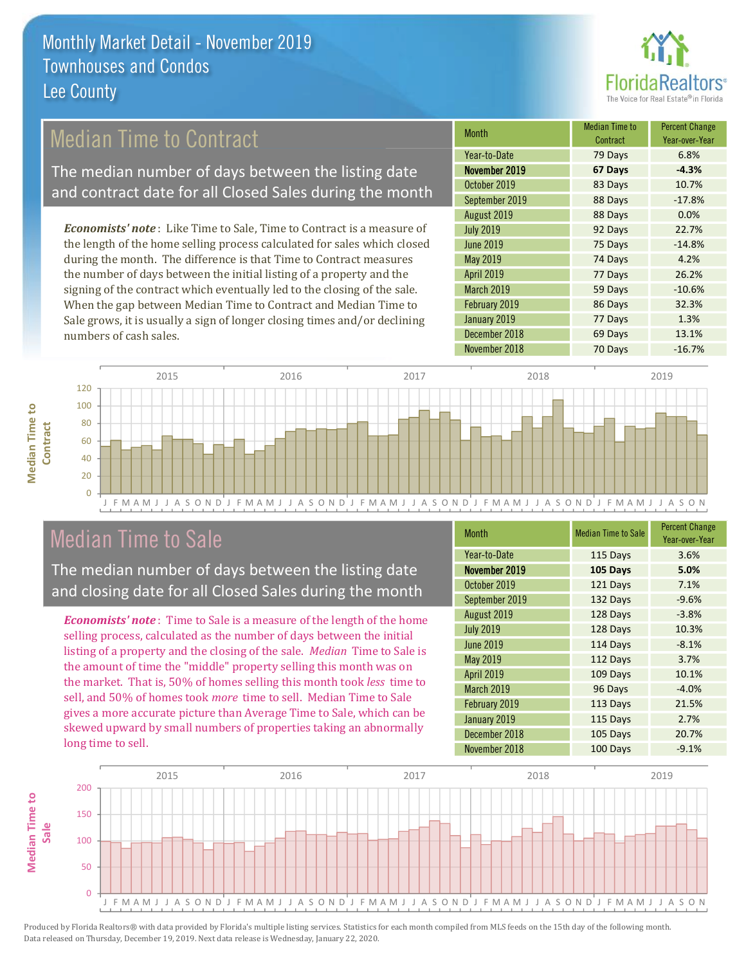

### **Median Time to Contract**

The median number of days between the listing date and contract date for all Closed Sales during the month

**Economists' note:** Like Time to Sale, Time to Contract is a measure of the length of the home selling process calculated for sales which closed during the month. The difference is that Time to Contract measures the number of days between the initial listing of a property and the signing of the contract which eventually led to the closing of the sale. When the gap between Median Time to Contract and Median Time to Sale grows, it is usually a sign of longer closing times and/or declining numbers of cash sales.

| <b>Month</b>      | <b>Median Time to</b><br>Contract | <b>Percent Change</b><br>Year-over-Year |
|-------------------|-----------------------------------|-----------------------------------------|
| Year-to-Date      | 79 Days                           | 6.8%                                    |
| November 2019     | 67 Days                           | $-4.3%$                                 |
| October 2019      | 83 Days                           | 10.7%                                   |
| September 2019    | 88 Days                           | $-17.8%$                                |
| August 2019       | 88 Days                           | 0.0%                                    |
| <b>July 2019</b>  | 92 Days                           | 22.7%                                   |
| <b>June 2019</b>  | 75 Days                           | $-14.8%$                                |
| May 2019          | 74 Days                           | 4.2%                                    |
| <b>April 2019</b> | 77 Days                           | 26.2%                                   |
| March 2019        | 59 Days                           | $-10.6%$                                |
| February 2019     | 86 Days                           | 32.3%                                   |
| January 2019      | 77 Days                           | 1.3%                                    |
| December 2018     | 69 Days                           | 13.1%                                   |
| November 2018     | 70 Days                           | $-16.7%$                                |



### **Median Time to Sale**

**Median Time to** 

The median number of days between the listing date and closing date for all Closed Sales during the month

**Economists' note**: Time to Sale is a measure of the length of the home selling process, calculated as the number of days between the initial listing of a property and the closing of the sale. Median Time to Sale is the amount of time the "middle" property selling this month was on the market. That is, 50% of homes selling this month took less time to sell, and 50% of homes took more time to sell. Median Time to Sale gives a more accurate picture than Average Time to Sale, which can be skewed upward by small numbers of properties taking an abnormally long time to sell.

| <b>Month</b>      | <b>Median Time to Sale</b> | <b>Percent Change</b><br>Year-over-Year |
|-------------------|----------------------------|-----------------------------------------|
| Year-to-Date      | 115 Days                   | 3.6%                                    |
| November 2019     | 105 Days                   | 5.0%                                    |
| October 2019      | 121 Days                   | 7.1%                                    |
| September 2019    | 132 Days                   | $-9.6%$                                 |
| August 2019       | 128 Days                   | $-3.8%$                                 |
| <b>July 2019</b>  | 128 Days                   | 10.3%                                   |
| <b>June 2019</b>  | 114 Days                   | $-8.1%$                                 |
| May 2019          | 112 Days                   | 3.7%                                    |
| <b>April 2019</b> | 109 Days                   | 10.1%                                   |
| March 2019        | 96 Days                    | $-4.0%$                                 |
| February 2019     | 113 Days                   | 21.5%                                   |
| January 2019      | 115 Days                   | 2.7%                                    |
| December 2018     | 105 Days                   | 20.7%                                   |
| November 2018     | 100 Days                   | $-9.1%$                                 |

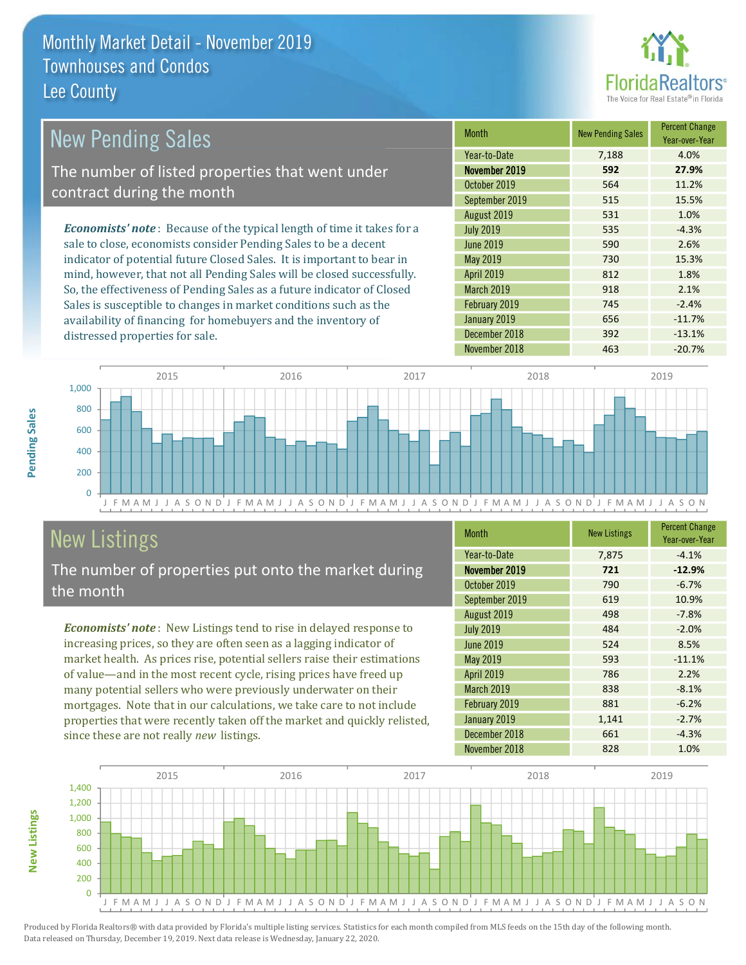

| New Pending Sales                                                              | <b>Month</b>      | <b>New Pending Sales</b> | <b>Percent Change</b><br>Year-over-Year |
|--------------------------------------------------------------------------------|-------------------|--------------------------|-----------------------------------------|
|                                                                                | Year-to-Date      | 7,188                    | 4.0%                                    |
| The number of listed properties that went under                                | November 2019     | 592                      | 27.9%                                   |
| contract during the month                                                      | October 2019      | 564                      | 11.2%                                   |
|                                                                                | September 2019    | 515                      | 15.5%                                   |
|                                                                                | August 2019       | 531                      | 1.0%                                    |
| <b>Economists' note</b> : Because of the typical length of time it takes for a | <b>July 2019</b>  | 535                      | $-4.3%$                                 |
| sale to close, economists consider Pending Sales to be a decent                | June 2019         | 590                      | 2.6%                                    |
| indicator of potential future Closed Sales. It is important to bear in         | May 2019          | 730                      | 15.3%                                   |
| mind, however, that not all Pending Sales will be closed successfully.         | <b>April 2019</b> | 812                      | 1.8%                                    |
| So, the effectiveness of Pending Sales as a future indicator of Closed         | <b>March 2019</b> | 918                      | 2.1%                                    |
| Sales is susceptible to changes in market conditions such as the               | February 2019     | 745                      | $-2.4%$                                 |
| availability of financing for homebuyers and the inventory of                  | January 2019      | 656                      | $-11.7%$                                |



December 2018

### **New Listings**

distressed properties for sale.

The number of properties put onto the market during the month

Economists' note: New Listings tend to rise in delayed response to increasing prices, so they are often seen as a lagging indicator of market health. As prices rise, potential sellers raise their estimations of value—and in the most recent cycle, rising prices have freed up many potential sellers who were previously underwater on their mortgages. Note that in our calculations, we take care to not include properties that were recently taken off the market and quickly relisted, since these are not really new listings.

| <b>Month</b>      | <b>New Listings</b> | <b>Percent Change</b><br>Year-over-Year |
|-------------------|---------------------|-----------------------------------------|
| Year-to-Date      | 7,875               | $-4.1%$                                 |
| November 2019     | 721                 | $-12.9%$                                |
| October 2019      | 790                 | $-6.7%$                                 |
| September 2019    | 619                 | 10.9%                                   |
| August 2019       | 498                 | $-7.8%$                                 |
| <b>July 2019</b>  | 484                 | $-2.0%$                                 |
| June 2019         | 524                 | 8.5%                                    |
| May 2019          | 593                 | $-11.1%$                                |
| <b>April 2019</b> | 786                 | 2.2%                                    |
| <b>March 2019</b> | 838                 | $-8.1%$                                 |
| February 2019     | 881                 | $-6.2%$                                 |
| January 2019      | 1,141               | $-2.7%$                                 |
| December 2018     | 661                 | $-4.3%$                                 |
| November 2018     | 828                 | 1.0%                                    |

392

 $-13.1%$ 



Produced by Florida Realtors® with data provided by Florida's multiple listing services. Statistics for each month compiled from MLS feeds on the 15th day of the following month. Data released on Thursday, December 19, 2019. Next data release is Wednesday, January 22, 2020.

**New Listings**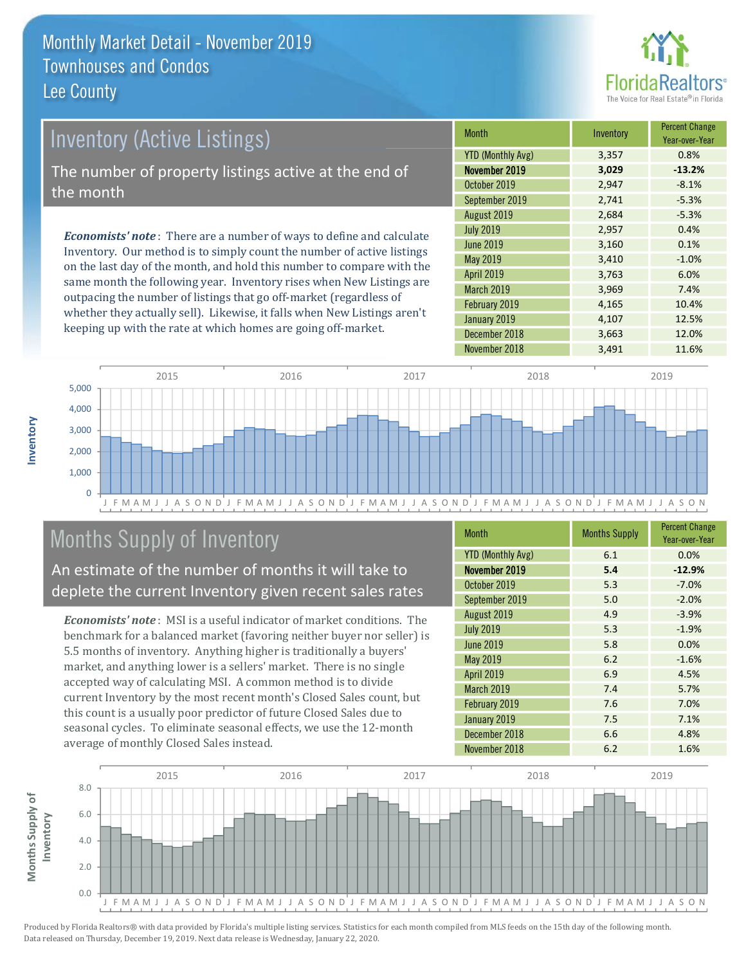

# **Inventory (Active Listings)** The number of property listings active at the end of the month

**Economists' note:** There are a number of ways to define and calculate Inventory. Our method is to simply count the number of active listings on the last day of the month, and hold this number to compare with the same month the following year. Inventory rises when New Listings are outpacing the number of listings that go off-market (regardless of whether they actually sell). Likewise, it falls when New Listings aren't keeping up with the rate at which homes are going off-market.

| <b>Month</b>             | Inventory | <b>Percent Change</b><br>Year-over-Year |
|--------------------------|-----------|-----------------------------------------|
| <b>YTD (Monthly Avg)</b> | 3,357     | 0.8%                                    |
| November 2019            | 3,029     | $-13.2%$                                |
| October 2019             | 2,947     | $-8.1%$                                 |
| September 2019           | 2,741     | $-5.3%$                                 |
| August 2019              | 2,684     | $-5.3%$                                 |
| <b>July 2019</b>         | 2,957     | 0.4%                                    |
| <b>June 2019</b>         | 3,160     | 0.1%                                    |
| May 2019                 | 3,410     | $-1.0%$                                 |
| <b>April 2019</b>        | 3,763     | 6.0%                                    |
| March 2019               | 3,969     | 7.4%                                    |
| February 2019            | 4,165     | 10.4%                                   |
| January 2019             | 4,107     | 12.5%                                   |
| December 2018            | 3,663     | 12.0%                                   |
| November 2018            | 3,491     | 11.6%                                   |



### Months Supply of Inventory

An estimate of the number of months it will take to deplete the current Inventory given recent sales rates

**Economists' note**: MSI is a useful indicator of market conditions. The benchmark for a balanced market (favoring neither buyer nor seller) is 5.5 months of inventory. Anything higher is traditionally a buyers' market, and anything lower is a sellers' market. There is no single accepted way of calculating MSI. A common method is to divide current Inventory by the most recent month's Closed Sales count, but this count is a usually poor predictor of future Closed Sales due to seasonal cycles. To eliminate seasonal effects, we use the 12-month average of monthly Closed Sales instead.

| <b>Month</b>             | <b>Months Supply</b> | <b>Percent Change</b><br>Year-over-Year |
|--------------------------|----------------------|-----------------------------------------|
| <b>YTD (Monthly Avg)</b> | 6.1                  | 0.0%                                    |
| November 2019            | 5.4                  | $-12.9%$                                |
| October 2019             | 5.3                  | $-7.0%$                                 |
| September 2019           | 5.0                  | $-2.0%$                                 |
| August 2019              | 4.9                  | $-3.9%$                                 |
| <b>July 2019</b>         | 5.3                  | $-1.9%$                                 |
| <b>June 2019</b>         | 5.8                  | 0.0%                                    |
| May 2019                 | 6.2                  | $-1.6%$                                 |
| <b>April 2019</b>        | 6.9                  | 4.5%                                    |
| <b>March 2019</b>        | 7.4                  | 5.7%                                    |
| February 2019            | 7.6                  | 7.0%                                    |
| January 2019             | 7.5                  | 7.1%                                    |
| December 2018            | 6.6                  | 4.8%                                    |
| November 2018            | 6.2                  | 1.6%                                    |

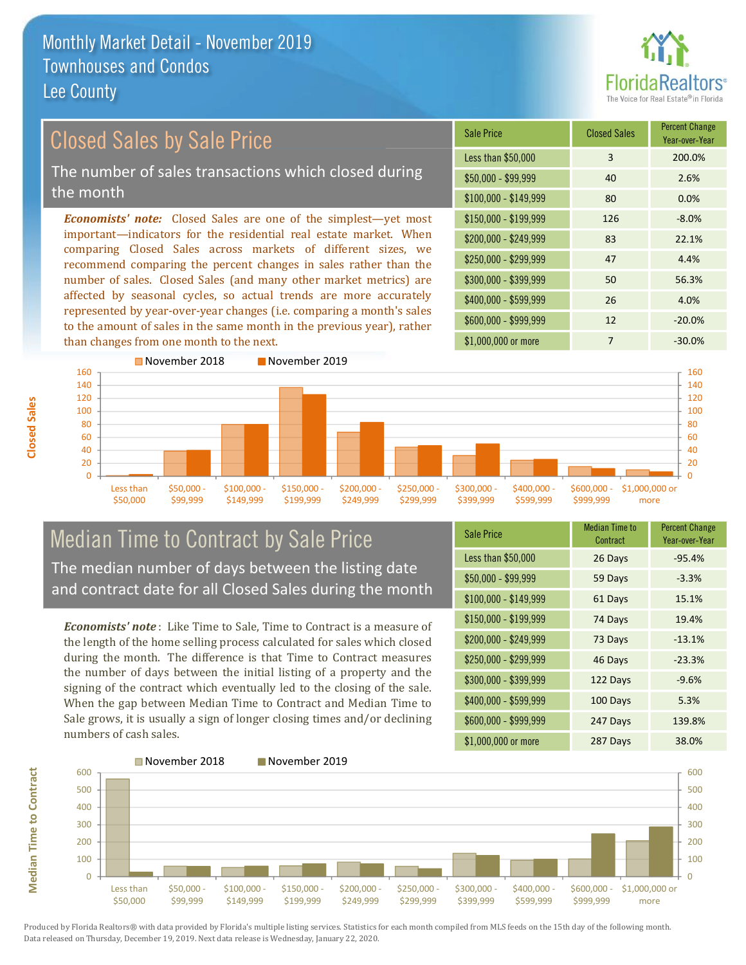

### **Closed Sales by Sale Price** The number of sales transactions which closed during

the month

**Economists' note:** Closed Sales are one of the simplest—yet most important-indicators for the residential real estate market. When comparing Closed Sales across markets of different sizes, we recommend comparing the percent changes in sales rather than the number of sales. Closed Sales (and many other market metrics) are affected by seasonal cycles, so actual trends are more accurately represented by year-over-year changes (i.e. comparing a month's sales to the amount of sales in the same month in the previous year), rather than changes from one month to the next.

| Sale Price            | <b>Closed Sales</b> | <b>Percent Change</b><br>Year-over-Year |
|-----------------------|---------------------|-----------------------------------------|
| Less than \$50,000    | 3                   | 200.0%                                  |
| $$50,000 - $99,999$   | 40                  | 2.6%                                    |
| $$100,000 - $149,999$ | 80                  | 0.0%                                    |
| $$150,000 - $199,999$ | 126                 | $-8.0%$                                 |
| \$200,000 - \$249,999 | 83                  | 22.1%                                   |
| \$250,000 - \$299,999 | 47                  | 4.4%                                    |
| \$300,000 - \$399,999 | 50                  | 56.3%                                   |
| \$400,000 - \$599,999 | 26                  | 4.0%                                    |
| \$600,000 - \$999,999 | 12                  | $-20.0%$                                |
| \$1,000,000 or more   | 7                   | $-30.0%$                                |



#### **Median Time to Contract by Sale Price** The median number of days between the listing date and contract date for all Closed Sales during the month

**Economists' note**: Like Time to Sale. Time to Contract is a measure of the length of the home selling process calculated for sales which closed during the month. The difference is that Time to Contract measures the number of days between the initial listing of a property and the signing of the contract which eventually led to the closing of the sale. When the gap between Median Time to Contract and Median Time to Sale grows, it is usually a sign of longer closing times and/or declining numbers of cash sales.

| <b>Sale Price</b>     | Median Time to<br>Contract | Percent Change<br>Year-over-Year |
|-----------------------|----------------------------|----------------------------------|
| Less than \$50,000    | 26 Days                    | $-95.4%$                         |
| $$50,000 - $99,999$   | 59 Days                    | $-3.3%$                          |
| $$100,000 - $149,999$ | 61 Days                    | 15.1%                            |
| \$150,000 - \$199,999 | 74 Days                    | 19.4%                            |
| $$200,000 - $249,999$ | 73 Days                    | $-13.1%$                         |
| \$250,000 - \$299,999 | 46 Days                    | $-23.3%$                         |
| \$300,000 - \$399,999 | 122 Days                   | $-9.6%$                          |
| \$400,000 - \$599,999 | 100 Days                   | 5.3%                             |
| \$600,000 - \$999,999 | 247 Days                   | 139.8%                           |
| \$1,000,000 or more   | 287 Days                   | 38.0%                            |



Produced by Florida Realtors® with data provided by Florida's multiple listing services. Statistics for each month compiled from MLS feeds on the 15th day of the following month. Data released on Thursday, December 19, 2019. Next data release is Wednesday, January 22, 2020.

**Median Time to Contract**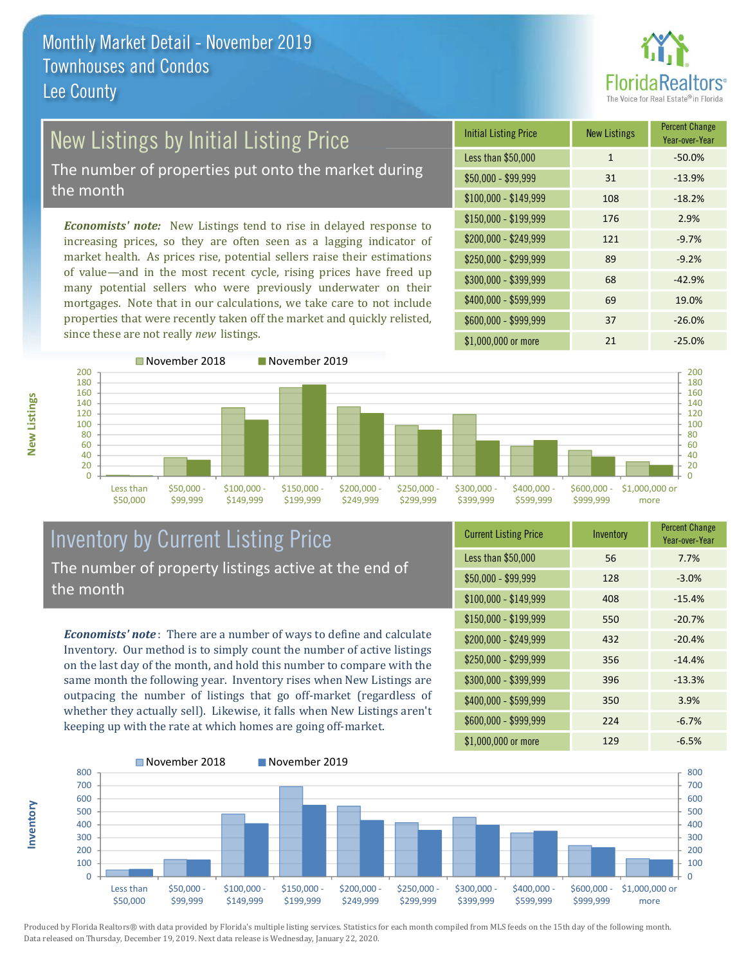

### New Listings by Initial Listing Price

The number of properties put onto the market during the month

Economists' note: New Listings tend to rise in delayed response to increasing prices, so they are often seen as a lagging indicator of market health. As prices rise, potential sellers raise their estimations of value—and in the most recent cycle, rising prices have freed up many potential sellers who were previously underwater on their mortgages. Note that in our calculations, we take care to not include properties that were recently taken off the market and quickly relisted, since these are not really new listings.

| <b>Initial Listing Price</b> | <b>New Listings</b> | <b>Percent Change</b><br>Year-over-Year |
|------------------------------|---------------------|-----------------------------------------|
| Less than \$50,000           | $\mathbf{1}$        | $-50.0%$                                |
| $$50,000 - $99,999$          | 31                  | $-13.9%$                                |
| $$100,000 - $149,999$        | 108                 | $-18.2%$                                |
| $$150,000 - $199,999$        | 176                 | 2.9%                                    |
| \$200,000 - \$249,999        | 121                 | $-9.7%$                                 |
| \$250,000 - \$299,999        | 89                  | $-9.2%$                                 |
| \$300,000 - \$399,999        | 68                  | $-42.9%$                                |
| \$400,000 - \$599,999        | 69                  | 19.0%                                   |
| \$600,000 - \$999,999        | 37                  | $-26.0%$                                |
| \$1,000,000 or more          | 21                  | $-25.0%$                                |



#### **Inventory by Current Listing Price** The number of property listings active at the end of the month

**Economists' note**: There are a number of ways to define and calculate Inventory. Our method is to simply count the number of active listings on the last day of the month, and hold this number to compare with the same month the following year. Inventory rises when New Listings are outpacing the number of listings that go off-market (regardless of whether they actually sell). Likewise, it falls when New Listings aren't keeping up with the rate at which homes are going off-market.

| <b>Current Listing Price</b> | Inventory | <b>Percent Griange</b><br>Year-over-Year |
|------------------------------|-----------|------------------------------------------|
| Less than \$50,000           | 56        | 7.7%                                     |
| $$50,000 - $99,999$          | 128       | $-3.0%$                                  |
| $$100,000 - $149,999$        | 408       | $-15.4%$                                 |
| $$150,000 - $199,999$        | 550       | $-20.7%$                                 |
| \$200,000 - \$249,999        | 432       | $-20.4%$                                 |
| \$250,000 - \$299,999        | 356       | $-14.4%$                                 |
| \$300,000 - \$399,999        | 396       | $-13.3%$                                 |
| \$400,000 - \$599,999        | 350       | 3.9%                                     |
| \$600,000 - \$999,999        | 224       | $-6.7%$                                  |
| $$1.000.000$ or more         | 129       | $-6.5\%$                                 |



Produced by Florida Realtors® with data provided by Florida's multiple listing services. Statistics for each month compiled from MLS feeds on the 15th day of the following month. Data released on Thursday, December 19, 2019. Next data release is Wednesday, January 22, 2020.

nventory